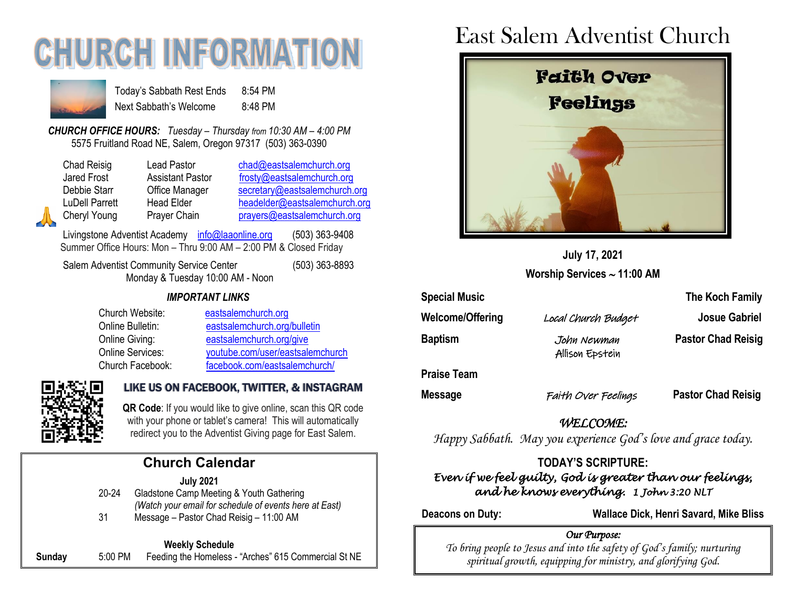# **CHURCH INFORMATION**



Today's Sabbath Rest Ends 8:54 PM Next Sabbath's Welcome 8:48 PM

*CHURCH OFFICE HOURS: Tuesday – Thursday from 10:30 AM – 4:00 PM* 5575 Fruitland Road NE, Salem, Oregon 97317 (503) 363-0390

Chad Reisig Lead Pastor [chad@eastsalemchurch.org](mailto:chad@eastsalemchurch.org) Jared Frost **Assistant Pastor** [frosty@eastsalemchurch.org](mailto:frosty@eastsalemchurch.org) Debbie Starr **Office Manager** [secretary@eastsalemchurch.org](mailto:secretary@eastsalemchurch.org) LuDell Parrett Head Elder [headelder@eastsalemchurch.org](mailto:headelder@eastsalemchurch.org) Cheryl Young Prayer Chain [prayers@eastsalemchurch.org](mailto:prayers@eastsalemchurch.org)

Livingstone Adventist Academy [info@laaonline.org](mailto:info@laaonline.org) (503) 363-9408 Summer Office Hours: Mon – Thru 9:00 AM – 2:00 PM & Closed Friday

Salem Adventist Community Service Center (503) 363-8893 Monday & Tuesday 10:00 AM - Noon

#### *IMPORTANT LINKS*

Church Website: [eastsalemchurch.org](https://www.eastsalemchurch.org/)  Online Bulletin: [eastsalemchurch.org/bulletin](http://www.eastsalemchurch.org/bulletin) Online Giving: [eastsalemchurch.org/give](https://www.eastsalemchurch.org/give) Online Services: [youtube.com/user/eastsalemchurch](https://www.youtube.com/user/eastsalemchurch) Church Facebook: [facebook.com/eastsalemchurch/](https://www.facebook.com/eastsalemchurch/)



#### LIKE US ON FACEBOOK, TWITTER, & INSTAGRAM

**QR Code**: If you would like to give online, scan this QR code with your phone or tablet's camera! This will automatically redirect you to the Adventist Giving page for East Salem.

## **Church Calendar**

**July 2021** 20-24 Gladstone Camp Meeting & Youth Gathering *(Watch your email for schedule of events here at East)* 31 Message – Pastor Chad Reisig – 11:00 AM

#### **Weekly Schedule**

**Sunday** 5:00 PM Feeding the Homeless - "Arches" 615 Commercial St NE

# East Salem Adventist Church



**July 17, 2021 Worship Services 11:00 AM**

| <b>Special Music</b>    |                                | The Koch Family           |  |
|-------------------------|--------------------------------|---------------------------|--|
| <b>Welcome/Offering</b> | Local Church Budget            | <b>Josue Gabriel</b>      |  |
| <b>Baptism</b>          | John Newman<br>Allison Epstein | <b>Pastor Chad Reisig</b> |  |
| <b>Praise Team</b>      |                                |                           |  |
| <b>Message</b>          | Faith Over Feelings            | <b>Pastor Chad Reisig</b> |  |

*WELCOME: Happy Sabbath. May you experience God's love and grace today.*

#### **TODAY'S SCRIPTURE:** *Even if we feel guilty, God is greater than our feelings, and he knows everything. 1 John 3:20 NLT*

**Deacons on Duty: Wallace Dick, Henri Savard, Mike Bliss**

#### *Our Purpose:*

*To bring people to Jesus and into the safety of God's family; nurturing spiritual growth, equipping for ministry, and glorifying God.*